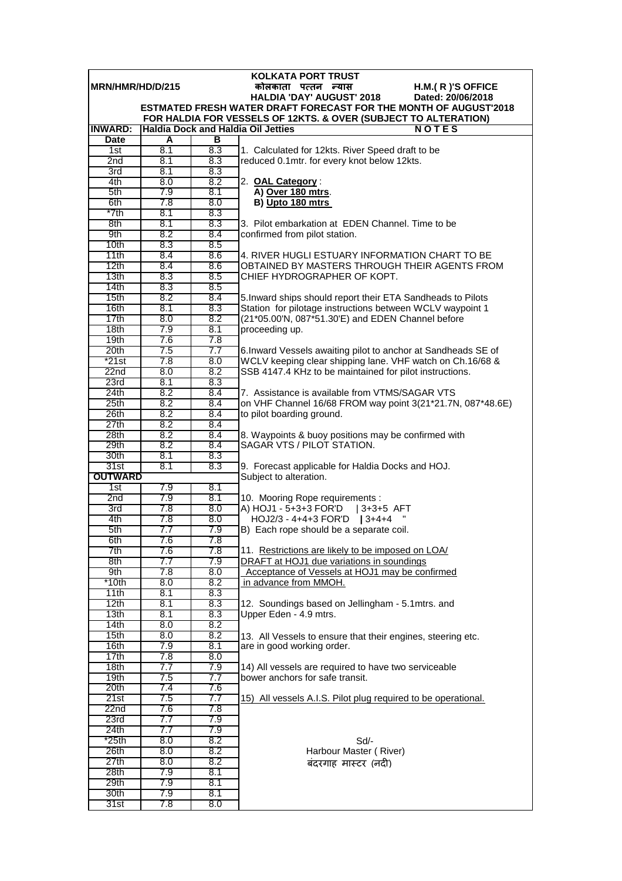| <b>KOLKATA PORT TRUST</b> |            |            |                                                                                                                                  |  |  |  |
|---------------------------|------------|------------|----------------------------------------------------------------------------------------------------------------------------------|--|--|--|
| MRN/HMR/HD/D/215          |            |            | कोलकाता पत्तन न्यास<br>H.M.(R)'S OFFICE                                                                                          |  |  |  |
|                           |            |            | <b>HALDIA 'DAY' AUGUST' 2018</b><br>Dated: 20/06/2018<br><b>ESTMATED FRESH WATER DRAFT FORECAST FOR THE MONTH OF AUGUST'2018</b> |  |  |  |
|                           |            |            | FOR HALDIA FOR VESSELS OF 12KTS. & OVER (SUBJECT TO ALTERATION)                                                                  |  |  |  |
| <b>INWARD:</b>            |            |            | <b>Haldia Dock and Haldia Oil Jetties</b><br><b>NOTES</b>                                                                        |  |  |  |
| <b>Date</b>               | A          | в          |                                                                                                                                  |  |  |  |
| 1st                       | 8.1        | 8.3        | 1. Calculated for 12kts. River Speed draft to be                                                                                 |  |  |  |
| 2nd                       | 8.1        | 8.3        | reduced 0.1mtr. for every knot below 12kts.                                                                                      |  |  |  |
| 3rd                       | 8.1        | 8.3        |                                                                                                                                  |  |  |  |
| 4th                       | 8.0        | 8.2        | 2. OAL Category:                                                                                                                 |  |  |  |
| 5th<br>6th                | 7.9<br>7.8 | 8.1<br>8.0 | A) Over 180 mtrs.<br>B) Upto 180 mtrs                                                                                            |  |  |  |
| *7th                      | 8.1        | 8.3        |                                                                                                                                  |  |  |  |
| 8th                       | 8.1        | 8.3        | 3. Pilot embarkation at EDEN Channel. Time to be                                                                                 |  |  |  |
| 9th                       | 8.2        | 8.4        | confirmed from pilot station.                                                                                                    |  |  |  |
| 10 <sub>th</sub>          | 8.3        | 8.5        |                                                                                                                                  |  |  |  |
| 11th                      | 8.4        | 8.6        | 4. RIVER HUGLI ESTUARY INFORMATION CHART TO BE                                                                                   |  |  |  |
| 12th                      | 8.4        | 8.6        | OBTAINED BY MASTERS THROUGH THEIR AGENTS FROM                                                                                    |  |  |  |
| 13 <sub>th</sub><br>14th  | 8.3<br>8.3 | 8.5<br>8.5 | CHIEF HYDROGRAPHER OF KOPT.                                                                                                      |  |  |  |
| 15th                      | 8.2        | 8.4        | 5. Inward ships should report their ETA Sandheads to Pilots                                                                      |  |  |  |
| 16th                      | 8.1        | 8.3        | Station for pilotage instructions between WCLV waypoint 1                                                                        |  |  |  |
| 17th                      | 8.0        | 8.2        | (21*05.00'N, 087*51.30'E) and EDEN Channel before                                                                                |  |  |  |
| 18 <sub>th</sub>          | 7.9        | 8.1        | proceeding up.                                                                                                                   |  |  |  |
| 19 <sub>th</sub>          | 7.6        | 7.8        |                                                                                                                                  |  |  |  |
| 20th                      | 7.5        | 7.7        | 6. Inward Vessels awaiting pilot to anchor at Sandheads SE of                                                                    |  |  |  |
| $*21st$                   | 7.8        | 8.0        | WCLV keeping clear shipping lane. VHF watch on Ch.16/68 &                                                                        |  |  |  |
| 22 <sub>nd</sub><br>23rd  | 8.0<br>8.1 | 8.2<br>8.3 | SSB 4147.4 KHz to be maintained for pilot instructions.                                                                          |  |  |  |
| 24th                      | 8.2        | 8.4        | 7. Assistance is available from VTMS/SAGAR VTS                                                                                   |  |  |  |
| 25th                      | 8.2        | 8.4        | on VHF Channel 16/68 FROM way point 3(21*21.7N, 087*48.6E)                                                                       |  |  |  |
| 26th                      | 8.2        | 8.4        | to pilot boarding ground.                                                                                                        |  |  |  |
| 27th                      | 8.2        | 8.4        |                                                                                                                                  |  |  |  |
| 28th                      | 8.2        | 8.4        | 8. Waypoints & buoy positions may be confirmed with                                                                              |  |  |  |
| 29th                      | 8.2        | 8.4        | SAGAR VTS / PILOT STATION.                                                                                                       |  |  |  |
| 30th                      | 8.1        | 8.3        |                                                                                                                                  |  |  |  |
| 31st<br><b>OUTWARD</b>    | 8.1        | 8.3        | 9. Forecast applicable for Haldia Docks and HOJ.<br>Subject to alteration.                                                       |  |  |  |
| 1st                       | 7.9        | 8.1        |                                                                                                                                  |  |  |  |
| 2nd                       | 7.9        | 8.1        | 10. Mooring Rope requirements :                                                                                                  |  |  |  |
| 3rd                       | 7.8        | 8.0        | A) HOJ1 - 5+3+3 FOR'D   3+3+5 AFT                                                                                                |  |  |  |
| 4th                       | 7.8        | 8.0        | $HOJ2/3 - 4+4+3$ FOR'D   3+4+4                                                                                                   |  |  |  |
| 5th                       | 7.7        | 7.9        | B) Each rope should be a separate coil.                                                                                          |  |  |  |
| 6th<br>7th                | 7.6        | 7.8<br>7.8 | 11. Restrictions are likely to be imposed on LOA/                                                                                |  |  |  |
| 8th                       | 7.6<br>7.7 | 7.9        | DRAFT at HOJ1 due variations in soundings                                                                                        |  |  |  |
| 9th                       | 7.8        | 8.0        | Acceptance of Vessels at HOJ1 may be confirmed                                                                                   |  |  |  |
| *10th                     | 8.0        | 8.2        | in advance from MMOH.                                                                                                            |  |  |  |
| 11th                      | 8.1        | 8.3        |                                                                                                                                  |  |  |  |
| 12th                      | 8.1        | 8.3        | 12. Soundings based on Jellingham - 5.1 mtrs. and                                                                                |  |  |  |
| 13 <sub>th</sub>          | 8.1        | 8.3<br>8.2 | Upper Eden - 4.9 mtrs.                                                                                                           |  |  |  |
| 14th<br>15 <sub>th</sub>  | 8.0<br>8.0 | 8.2        |                                                                                                                                  |  |  |  |
| 16th                      | 7.9        | 8.1        | 13. All Vessels to ensure that their engines, steering etc.<br>are in good working order.                                        |  |  |  |
| 17th                      | 7.8        | 8.0        |                                                                                                                                  |  |  |  |
| 18 <sub>th</sub>          | 7.7        | 7.9        | 14) All vessels are required to have two serviceable                                                                             |  |  |  |
| 19th                      | 7.5        | 7.7        | bower anchors for safe transit.                                                                                                  |  |  |  |
| 20th                      | 7.4        | 7.6        |                                                                                                                                  |  |  |  |
| 21st<br>22n <sub>d</sub>  | 7.5<br>7.6 | 7.7<br>7.8 | 15) All vessels A.I.S. Pilot plug required to be operational.                                                                    |  |  |  |
| 23rd                      | 7.7        | 7.9        |                                                                                                                                  |  |  |  |
| 24th                      | 7.7        | 7.9        |                                                                                                                                  |  |  |  |
| $*25th$                   | 8.0        | 8.2        | $Sd$ -                                                                                                                           |  |  |  |
| 26th                      | 8.0        | 8.2        | Harbour Master (River)                                                                                                           |  |  |  |
| 27th                      | 8.0        | 8.2        | बंदरगाह मास्टर (नदी)                                                                                                             |  |  |  |
| 28th                      | 7.9        | 8.1        |                                                                                                                                  |  |  |  |
| 29th<br>30th              | 7.9<br>7.9 | 8.1<br>8.1 |                                                                                                                                  |  |  |  |
| 31st                      | 7.8        | 8.0        |                                                                                                                                  |  |  |  |
|                           |            |            |                                                                                                                                  |  |  |  |